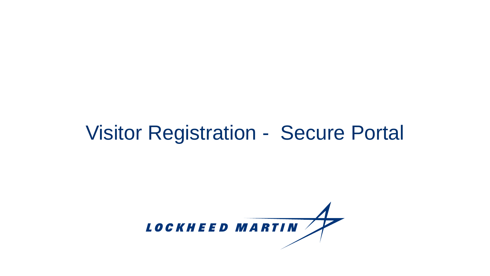#### Visitor Registration - Secure Portal

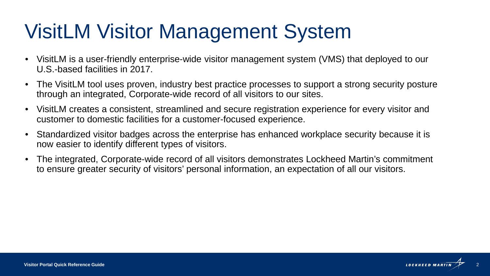# VisitLM Visitor Management System

- VisitLM is a user-friendly enterprise-wide visitor management system (VMS) that deployed to our U.S.-based facilities in 2017.
- The VisitLM tool uses proven, industry best practice processes to support a strong security posture through an integrated, Corporate-wide record of all visitors to our sites.
- VisitLM creates a consistent, streamlined and secure registration experience for every visitor and customer to domestic facilities for a customer-focused experience.
- Standardized visitor badges across the enterprise has enhanced workplace security because it is now easier to identify different types of visitors.
- The integrated, Corporate-wide record of all visitors demonstrates Lockheed Martin's commitment to ensure greater security of visitors' personal information, an expectation of all our visitors.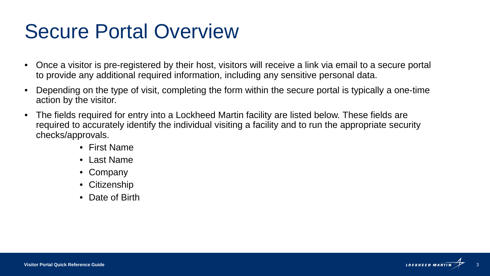#### Secure Portal Overview

- Once a visitor is pre-registered by their host, visitors will receive a link via email to a secure portal to provide any additional required information, including any sensitive personal data.
- Depending on the type of visit, completing the form within the secure portal is typically a one-time action by the visitor.
- The fields required for entry into a Lockheed Martin facility are listed below. These fields are required to accurately identify the individual visiting a facility and to run the appropriate security checks/approvals.
	- First Name
	- Last Name
	- Company
	- Citizenship
	- Date of Birth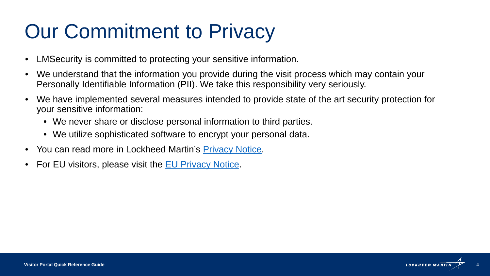# Our Commitment to Privacy

- LMSecurity is committed to protecting your sensitive information.
- We understand that the information you provide during the visit process which may contain your Personally Identifiable Information (PII). We take this responsibility very seriously.
- We have implemented several measures intended to provide state of the art security protection for your sensitive information:
	- We never share or disclose personal information to third parties.
	- We utilize sophisticated software to encrypt your personal data.
- You can read more in Lockheed Martin's [Privacy Notice.](http://www.lockheedmartin.com/us/contact/disclaimer.html#privacy)
- For EU visitors, please visit the [EU Privacy Notice.](https://www.lockheedmartin.com/content/dam/lockheed-martin/eo/documents/contact/Lockheed-Martin-EU-Non-Employee-Privacy-Notice-14MAY2018.pdf)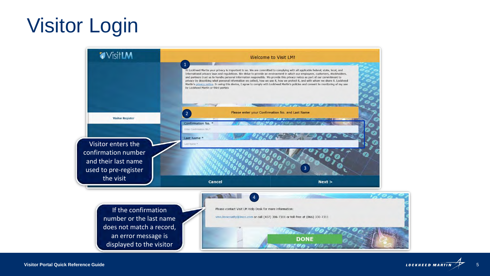# Visitor Login

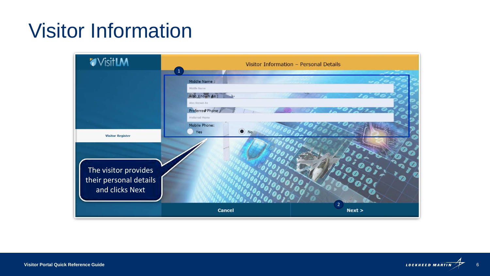# Visitor Information

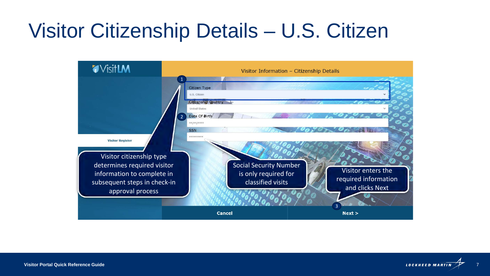# Visitor Citizenship Details – U.S. Citizen



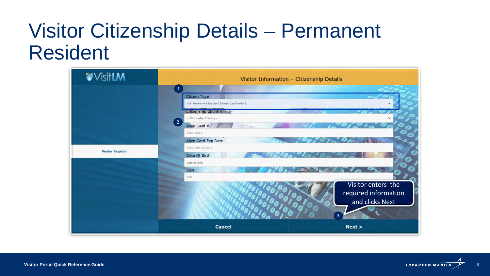### Visitor Citizenship Details – Permanent Resident

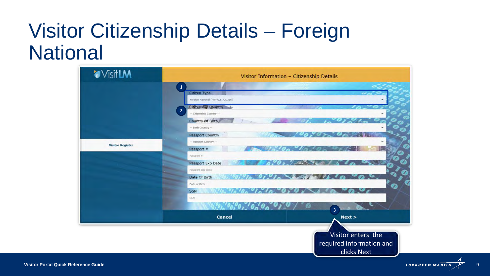### Visitor Citizenship Details – Foreign **National**

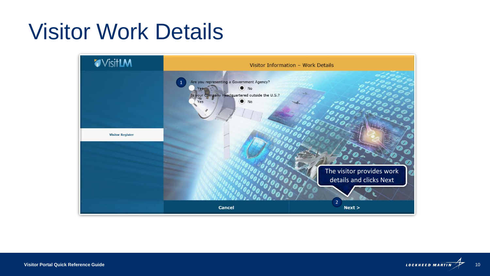# Visitor Work Details



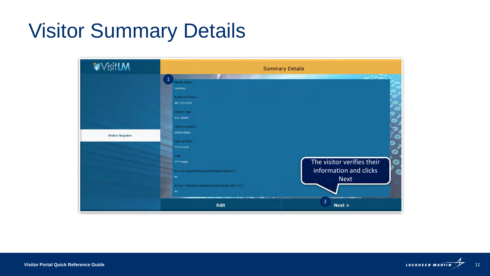# Visitor Summary Details



![](_page_10_Picture_2.jpeg)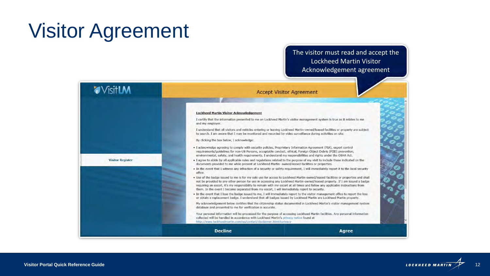# Visitor Agreement

#### The visitor must read and accept the Lockheed Martin Visitor Acknowledgement agreement

![](_page_11_Picture_2.jpeg)

![](_page_11_Picture_4.jpeg)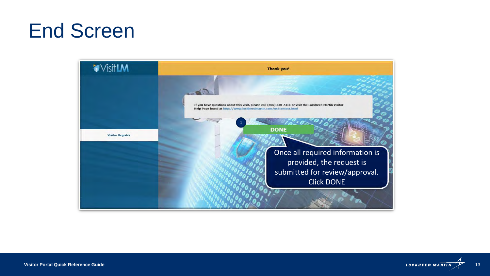### End Screen

![](_page_12_Picture_1.jpeg)

![](_page_12_Picture_2.jpeg)